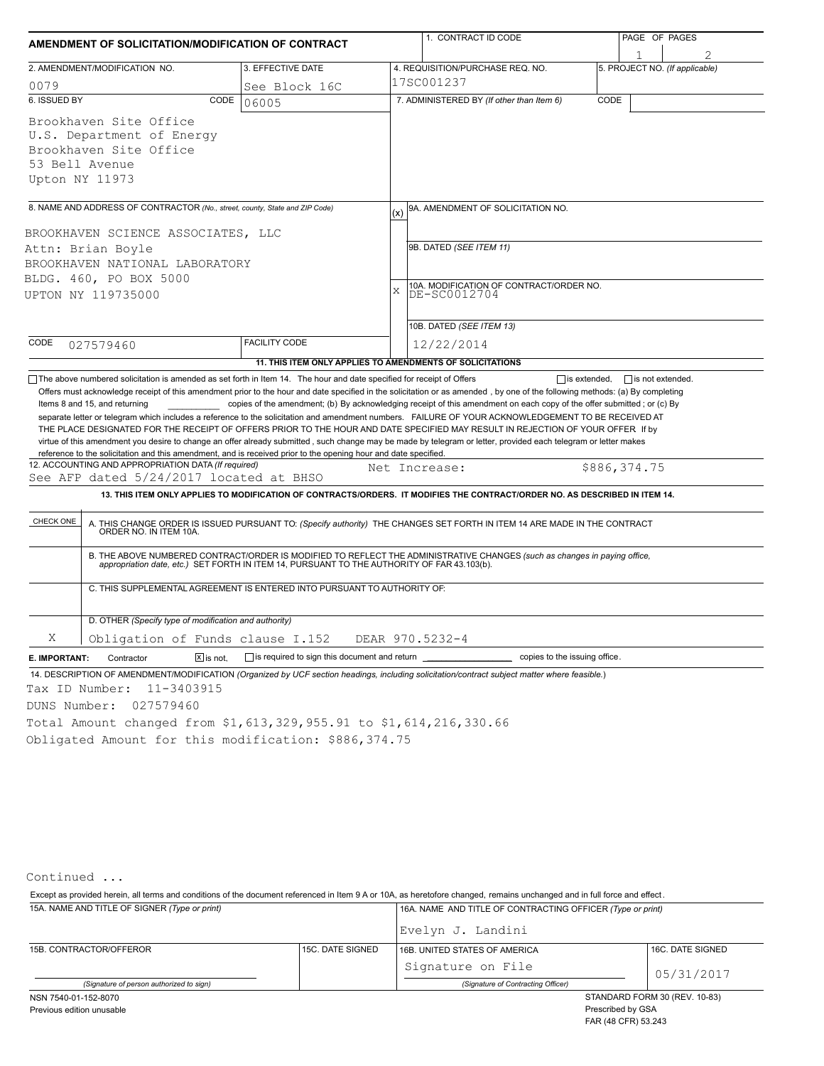|                                                                                                                                                                                                                                                                                                                                                                                                                                                                                                                                                                                                                                                                                                                 |                                                                          | 1. CONTRACT ID CODE | PAGE OF PAGES                                                                                                                                                                                                                                                          |      |                                |  |  |  |  |
|-----------------------------------------------------------------------------------------------------------------------------------------------------------------------------------------------------------------------------------------------------------------------------------------------------------------------------------------------------------------------------------------------------------------------------------------------------------------------------------------------------------------------------------------------------------------------------------------------------------------------------------------------------------------------------------------------------------------|--------------------------------------------------------------------------|---------------------|------------------------------------------------------------------------------------------------------------------------------------------------------------------------------------------------------------------------------------------------------------------------|------|--------------------------------|--|--|--|--|
| AMENDMENT OF SOLICITATION/MODIFICATION OF CONTRACT                                                                                                                                                                                                                                                                                                                                                                                                                                                                                                                                                                                                                                                              |                                                                          |                     |                                                                                                                                                                                                                                                                        |      |                                |  |  |  |  |
| 2. AMENDMENT/MODIFICATION NO.                                                                                                                                                                                                                                                                                                                                                                                                                                                                                                                                                                                                                                                                                   | 3. EFFECTIVE DATE                                                        |                     | 4. REQUISITION/PURCHASE REQ. NO.                                                                                                                                                                                                                                       |      | 5. PROJECT NO. (If applicable) |  |  |  |  |
| 0079                                                                                                                                                                                                                                                                                                                                                                                                                                                                                                                                                                                                                                                                                                            | See Block 16C                                                            |                     | 17SC001237                                                                                                                                                                                                                                                             |      |                                |  |  |  |  |
| 6. ISSUED BY<br>CODE                                                                                                                                                                                                                                                                                                                                                                                                                                                                                                                                                                                                                                                                                            | 06005                                                                    |                     | 7. ADMINISTERED BY (If other than Item 6)                                                                                                                                                                                                                              | CODE |                                |  |  |  |  |
| Brookhaven Site Office                                                                                                                                                                                                                                                                                                                                                                                                                                                                                                                                                                                                                                                                                          |                                                                          |                     |                                                                                                                                                                                                                                                                        |      |                                |  |  |  |  |
| U.S. Department of Energy                                                                                                                                                                                                                                                                                                                                                                                                                                                                                                                                                                                                                                                                                       |                                                                          |                     |                                                                                                                                                                                                                                                                        |      |                                |  |  |  |  |
| Brookhaven Site Office                                                                                                                                                                                                                                                                                                                                                                                                                                                                                                                                                                                                                                                                                          |                                                                          |                     |                                                                                                                                                                                                                                                                        |      |                                |  |  |  |  |
| 53 Bell Avenue                                                                                                                                                                                                                                                                                                                                                                                                                                                                                                                                                                                                                                                                                                  |                                                                          |                     |                                                                                                                                                                                                                                                                        |      |                                |  |  |  |  |
| Upton NY 11973                                                                                                                                                                                                                                                                                                                                                                                                                                                                                                                                                                                                                                                                                                  |                                                                          |                     |                                                                                                                                                                                                                                                                        |      |                                |  |  |  |  |
|                                                                                                                                                                                                                                                                                                                                                                                                                                                                                                                                                                                                                                                                                                                 |                                                                          |                     |                                                                                                                                                                                                                                                                        |      |                                |  |  |  |  |
| 8. NAME AND ADDRESS OF CONTRACTOR (No., street, county, State and ZIP Code)                                                                                                                                                                                                                                                                                                                                                                                                                                                                                                                                                                                                                                     |                                                                          | (x)                 | 9A. AMENDMENT OF SOLICITATION NO.                                                                                                                                                                                                                                      |      |                                |  |  |  |  |
| BROOKHAVEN SCIENCE ASSOCIATES, LLC                                                                                                                                                                                                                                                                                                                                                                                                                                                                                                                                                                                                                                                                              |                                                                          |                     |                                                                                                                                                                                                                                                                        |      |                                |  |  |  |  |
| Attn: Brian Boyle                                                                                                                                                                                                                                                                                                                                                                                                                                                                                                                                                                                                                                                                                               |                                                                          |                     | 9B. DATED (SEE ITEM 11)                                                                                                                                                                                                                                                |      |                                |  |  |  |  |
| BROOKHAVEN NATIONAL LABORATORY                                                                                                                                                                                                                                                                                                                                                                                                                                                                                                                                                                                                                                                                                  |                                                                          |                     |                                                                                                                                                                                                                                                                        |      |                                |  |  |  |  |
| BLDG. 460, PO BOX 5000                                                                                                                                                                                                                                                                                                                                                                                                                                                                                                                                                                                                                                                                                          |                                                                          |                     |                                                                                                                                                                                                                                                                        |      |                                |  |  |  |  |
| UPTON NY 119735000                                                                                                                                                                                                                                                                                                                                                                                                                                                                                                                                                                                                                                                                                              |                                                                          |                     | 10A. MODIFICATION OF CONTRACT/ORDER NO.<br>X<br>DE-SC0012704                                                                                                                                                                                                           |      |                                |  |  |  |  |
|                                                                                                                                                                                                                                                                                                                                                                                                                                                                                                                                                                                                                                                                                                                 |                                                                          |                     | 10B. DATED (SEE ITEM 13)                                                                                                                                                                                                                                               |      |                                |  |  |  |  |
|                                                                                                                                                                                                                                                                                                                                                                                                                                                                                                                                                                                                                                                                                                                 |                                                                          |                     |                                                                                                                                                                                                                                                                        |      |                                |  |  |  |  |
| CODE<br>027579460                                                                                                                                                                                                                                                                                                                                                                                                                                                                                                                                                                                                                                                                                               | <b>FACILITY CODE</b>                                                     |                     | 12/22/2014                                                                                                                                                                                                                                                             |      |                                |  |  |  |  |
|                                                                                                                                                                                                                                                                                                                                                                                                                                                                                                                                                                                                                                                                                                                 | 11. THIS ITEM ONLY APPLIES TO AMENDMENTS OF SOLICITATIONS                |                     |                                                                                                                                                                                                                                                                        |      |                                |  |  |  |  |
| Items 8 and 15, and returning<br>separate letter or telegram which includes a reference to the solicitation and amendment numbers. FAILURE OF YOUR ACKNOWLEDGEMENT TO BE RECEIVED AT<br>THE PLACE DESIGNATED FOR THE RECEIPT OF OFFERS PRIOR TO THE HOUR AND DATE SPECIFIED MAY RESULT IN REJECTION OF YOUR OFFER If by<br>virtue of this amendment you desire to change an offer already submitted, such change may be made by telegram or letter, provided each telegram or letter makes<br>reference to the solicitation and this amendment, and is received prior to the opening hour and date specified.<br>12. ACCOUNTING AND APPROPRIATION DATA (If required)<br>See AFP dated 5/24/2017 located at BHSO |                                                                          |                     | copies of the amendment; (b) By acknowledging receipt of this amendment on each copy of the offer submitted; or (c) By<br>Net Increase:<br>13. THIS ITEM ONLY APPLIES TO MODIFICATION OF CONTRACTS/ORDERS. IT MODIFIES THE CONTRACT/ORDER NO. AS DESCRIBED IN ITEM 14. |      | \$886,374.75                   |  |  |  |  |
| CHECK ONE<br>A. THIS CHANGE ORDER IS ISSUED PURSUANT TO: (Specify authority) THE CHANGES SET FORTH IN ITEM 14 ARE MADE IN THE CONTRACT ORDER NO. IN ITEM 10A.                                                                                                                                                                                                                                                                                                                                                                                                                                                                                                                                                   |                                                                          |                     |                                                                                                                                                                                                                                                                        |      |                                |  |  |  |  |
|                                                                                                                                                                                                                                                                                                                                                                                                                                                                                                                                                                                                                                                                                                                 |                                                                          |                     | B. THE ABOVE NUMBERED CONTRACT/ORDER IS MODIFIED TO REFLECT THE ADMINISTRATIVE CHANGES (such as changes in paying office,<br>appropriation date, etc.) SET FORTH IN ITEM 14, PURSUANT TO THE AUTHORITY OF FAR 43.103(b).                                               |      |                                |  |  |  |  |
|                                                                                                                                                                                                                                                                                                                                                                                                                                                                                                                                                                                                                                                                                                                 | C. THIS SUPPLEMENTAL AGREEMENT IS ENTERED INTO PURSUANT TO AUTHORITY OF: |                     |                                                                                                                                                                                                                                                                        |      |                                |  |  |  |  |
| D. OTHER (Specify type of modification and authority)                                                                                                                                                                                                                                                                                                                                                                                                                                                                                                                                                                                                                                                           |                                                                          |                     |                                                                                                                                                                                                                                                                        |      |                                |  |  |  |  |
| Χ<br>Obligation of Funds clause I.152                                                                                                                                                                                                                                                                                                                                                                                                                                                                                                                                                                                                                                                                           |                                                                          |                     | DEAR 970.5232-4                                                                                                                                                                                                                                                        |      |                                |  |  |  |  |
| $X$ is not.<br>E. IMPORTANT:<br>Contractor                                                                                                                                                                                                                                                                                                                                                                                                                                                                                                                                                                                                                                                                      | is required to sign this document and return                             |                     | copies to the issuing office.                                                                                                                                                                                                                                          |      |                                |  |  |  |  |
| 14. DESCRIPTION OF AMENDMENT/MODIFICATION (Organized by UCF section headings, including solicitation/contract subject matter where feasible.)                                                                                                                                                                                                                                                                                                                                                                                                                                                                                                                                                                   |                                                                          |                     |                                                                                                                                                                                                                                                                        |      |                                |  |  |  |  |
| 11-3403915<br>Tax ID Number:                                                                                                                                                                                                                                                                                                                                                                                                                                                                                                                                                                                                                                                                                    |                                                                          |                     |                                                                                                                                                                                                                                                                        |      |                                |  |  |  |  |
|                                                                                                                                                                                                                                                                                                                                                                                                                                                                                                                                                                                                                                                                                                                 |                                                                          |                     |                                                                                                                                                                                                                                                                        |      |                                |  |  |  |  |
| DUNS Number:<br>027579460                                                                                                                                                                                                                                                                                                                                                                                                                                                                                                                                                                                                                                                                                       |                                                                          |                     |                                                                                                                                                                                                                                                                        |      |                                |  |  |  |  |
| Total Amount changed from \$1,613,329,955.91 to \$1,614,216,330.66                                                                                                                                                                                                                                                                                                                                                                                                                                                                                                                                                                                                                                              |                                                                          |                     |                                                                                                                                                                                                                                                                        |      |                                |  |  |  |  |
| Obligated Amount for this modification: \$886,374.75                                                                                                                                                                                                                                                                                                                                                                                                                                                                                                                                                                                                                                                            |                                                                          |                     |                                                                                                                                                                                                                                                                        |      |                                |  |  |  |  |

Continued ...

15A. NAME AND TITLE OF SIGNER *(Type or print)* 16A. NAME AND TITLE OF CONTRACTING OFFICER *(Type or print)* Except as provided herein, all terms and conditions of the document referenced in Item 9 A or 10A, as heretofore changed, remains unchanged and in full force and effect .

|                                          |                  | Evelyn J. Landini                  |                               |  |  |
|------------------------------------------|------------------|------------------------------------|-------------------------------|--|--|
| 15B. CONTRACTOR/OFFEROR                  | 15C. DATE SIGNED | 16B. UNITED STATES OF AMERICA      | 16C. DATE SIGNED              |  |  |
|                                          |                  | Signature on File                  | 05/31/2017                    |  |  |
| (Signature of person authorized to sign) |                  | (Signature of Contracting Officer) |                               |  |  |
| NSN 7540-01-152-8070                     |                  |                                    | STANDARD FORM 30 (REV. 10-83) |  |  |